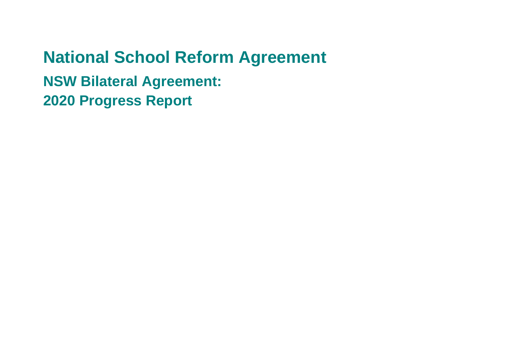# **National School Reform Agreement NSW Bilateral Agreement: 2020 Progress Report**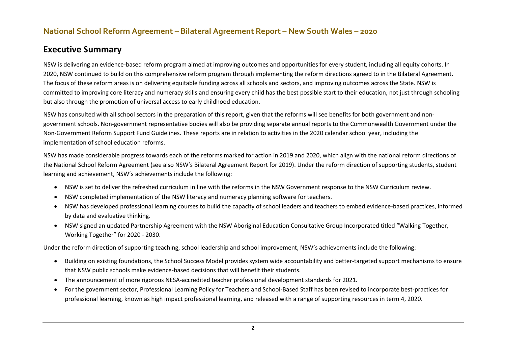#### **Executive Summary**

NSW is delivering an evidence-based reform program aimed at improving outcomes and opportunities for every student, including all equity cohorts. In 2020, NSW continued to build on this comprehensive reform program through implementing the reform directions agreed to in the Bilateral Agreement. The focus of these reform areas is on delivering equitable funding across all schools and sectors, and improving outcomes across the State. NSW is committed to improving core literacy and numeracy skills and ensuring every child has the best possible start to their education, not just through schooling but also through the promotion of universal access to early childhood education.

NSW has consulted with all school sectors in the preparation of this report, given that the reforms will see benefits for both government and nongovernment schools. Non-government representative bodies will also be providing separate annual reports to the Commonwealth Government under the Non-Government Reform Support Fund Guidelines. These reports are in relation to activities in the 2020 calendar school year, including the implementation of school education reforms.

NSW has made considerable progress towards each of the reforms marked for action in 2019 and 2020, which align with the national reform directions of the National School Reform Agreement (see also NSW's Bilateral Agreement Report for 2019). Under the reform direction of supporting students, student learning and achievement, NSW's achievements include the following:

- NSW is set to deliver the refreshed curriculum in line with the reforms in the NSW Government response to the NSW Curriculum review.
- NSW completed implementation of the NSW literacy and numeracy planning software for teachers.
- NSW has developed professional learning courses to build the capacity of school leaders and teachers to embed evidence-based practices, informed by data and evaluative thinking.
- NSW signed an updated Partnership Agreement with the NSW Aboriginal Education Consultative Group Incorporated titled "Walking Together, Working Together" for 2020 - 2030.

Under the reform direction of supporting teaching, school leadership and school improvement, NSW's achievements include the following:

- Building on existing foundations, the School Success Model provides system wide accountability and better-targeted support mechanisms to ensure that NSW public schools make evidence-based decisions that will benefit their students.
- The announcement of more rigorous NESA-accredited teacher professional development standards for 2021.
- For the government sector, Professional Learning Policy for Teachers and School-Based Staff has been revised to incorporate best-practices for professional learning, known as high impact professional learning, and released with a range of supporting resources in term 4, 2020.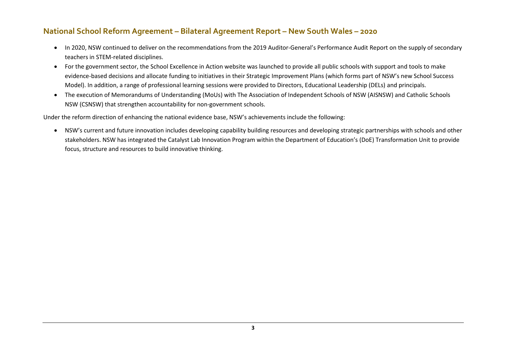- In 2020, NSW continued to deliver on the recommendations from the 2019 Auditor-General's Performance Audit Report on the supply of secondary teachers in STEM-related disciplines.
- For the government sector, the School Excellence in Action website was launched to provide all public schools with support and tools to make evidence-based decisions and allocate funding to initiatives in their Strategic Improvement Plans (which forms part of NSW's new School Success Model). In addition, a range of professional learning sessions were provided to Directors, Educational Leadership (DELs) and principals.
- The execution of Memorandums of Understanding (MoUs) with The Association of Independent Schools of NSW (AISNSW) and Catholic Schools NSW (CSNSW) that strengthen accountability for non-government schools.

Under the reform direction of enhancing the national evidence base, NSW's achievements include the following:

• NSW's current and future innovation includes developing capability building resources and developing strategic partnerships with schools and other stakeholders. NSW has integrated the Catalyst Lab Innovation Program within the Department of Education's (DoE) Transformation Unit to provide focus, structure and resources to build innovative thinking.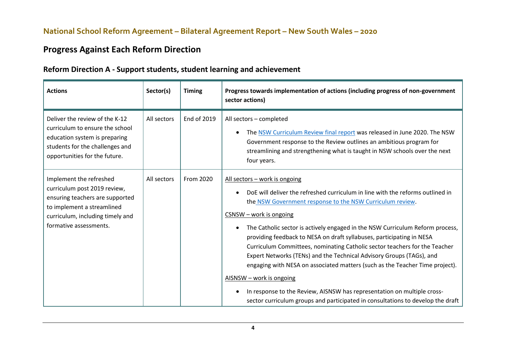## **Progress Against Each Reform Direction**

#### **Reform Direction A - Support students, student learning and achievement**

| <b>Actions</b>                                                                                                                                                                         | Sector(s)   | <b>Timing</b> | Progress towards implementation of actions (including progress of non-government<br>sector actions)                                                                                                                                                                                                                                                                                                                                                                                                                                                                                                                                                                                                                                                                                                                           |
|----------------------------------------------------------------------------------------------------------------------------------------------------------------------------------------|-------------|---------------|-------------------------------------------------------------------------------------------------------------------------------------------------------------------------------------------------------------------------------------------------------------------------------------------------------------------------------------------------------------------------------------------------------------------------------------------------------------------------------------------------------------------------------------------------------------------------------------------------------------------------------------------------------------------------------------------------------------------------------------------------------------------------------------------------------------------------------|
| Deliver the review of the K-12<br>curriculum to ensure the school<br>education system is preparing<br>students for the challenges and<br>opportunities for the future.                 | All sectors | End of 2019   | All sectors - completed<br>The NSW Curriculum Review final report was released in June 2020. The NSW<br>$\bullet$<br>Government response to the Review outlines an ambitious program for<br>streamlining and strengthening what is taught in NSW schools over the next<br>four years.                                                                                                                                                                                                                                                                                                                                                                                                                                                                                                                                         |
| Implement the refreshed<br>curriculum post 2019 review,<br>ensuring teachers are supported<br>to implement a streamlined<br>curriculum, including timely and<br>formative assessments. | All sectors | From 2020     | All sectors - work is ongoing<br>DoE will deliver the refreshed curriculum in line with the reforms outlined in<br>the NSW Government response to the NSW Curriculum review.<br>$CSNSW - work$ is ongoing<br>The Catholic sector is actively engaged in the NSW Curriculum Reform process,<br>$\bullet$<br>providing feedback to NESA on draft syllabuses, participating in NESA<br>Curriculum Committees, nominating Catholic sector teachers for the Teacher<br>Expert Networks (TENs) and the Technical Advisory Groups (TAGs), and<br>engaging with NESA on associated matters (such as the Teacher Time project).<br>AISNSW - work is ongoing<br>In response to the Review, AISNSW has representation on multiple cross-<br>$\bullet$<br>sector curriculum groups and participated in consultations to develop the draft |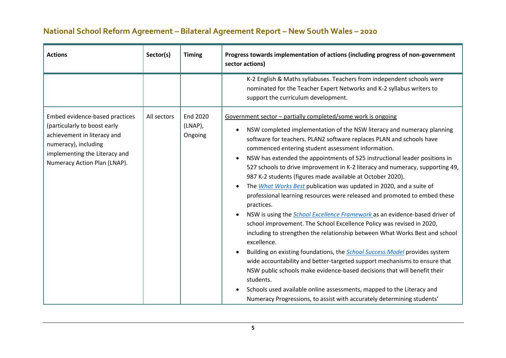| <b>Actions</b>                                                                                                                                                                         | Sector(s)   | <b>Timing</b>                  | Progress towards implementation of actions (including progress of non-government<br>sector actions)                                                                                                                                                                                                                                                                                                                                                                                                                                                                                                                                                                                                                                                                                                                                                                                                                                                                                                                                                                                                                                                                                                                                                                                                                                                                                                                   |
|----------------------------------------------------------------------------------------------------------------------------------------------------------------------------------------|-------------|--------------------------------|-----------------------------------------------------------------------------------------------------------------------------------------------------------------------------------------------------------------------------------------------------------------------------------------------------------------------------------------------------------------------------------------------------------------------------------------------------------------------------------------------------------------------------------------------------------------------------------------------------------------------------------------------------------------------------------------------------------------------------------------------------------------------------------------------------------------------------------------------------------------------------------------------------------------------------------------------------------------------------------------------------------------------------------------------------------------------------------------------------------------------------------------------------------------------------------------------------------------------------------------------------------------------------------------------------------------------------------------------------------------------------------------------------------------------|
|                                                                                                                                                                                        |             |                                | K-2 English & Maths syllabuses. Teachers from independent schools were<br>nominated for the Teacher Expert Networks and K-2 syllabus writers to<br>support the curriculum development.                                                                                                                                                                                                                                                                                                                                                                                                                                                                                                                                                                                                                                                                                                                                                                                                                                                                                                                                                                                                                                                                                                                                                                                                                                |
| Embed evidence-based practices<br>(particularly to boost early<br>achievement in literacy and<br>numeracy), including<br>implementing the Literacy and<br>Numeracy Action Plan (LNAP). | All sectors | End 2020<br>(LNAP),<br>Ongoing | Government sector - partially completed/some work is ongoing<br>NSW completed implementation of the NSW literacy and numeracy planning<br>$\bullet$<br>software for teachers. PLAN2 software replaces PLAN and schools have<br>commenced entering student assessment information.<br>NSW has extended the appointments of 525 instructional leader positions in<br>$\bullet$<br>527 schools to drive improvement in K-2 literacy and numeracy, supporting 49,<br>987 K-2 students (figures made available at October 2020).<br>The What Works Best publication was updated in 2020, and a suite of<br>$\bullet$<br>professional learning resources were released and promoted to embed these<br>practices.<br>NSW is using the School Excellence Framework as an evidence-based driver of<br>$\bullet$<br>school improvement. The School Excellence Policy was revised in 2020,<br>including to strengthen the relationship between What Works Best and school<br>excellence.<br>Building on existing foundations, the <b>School Success Model</b> provides system<br>$\bullet$<br>wide accountability and better-targeted support mechanisms to ensure that<br>NSW public schools make evidence-based decisions that will benefit their<br>students.<br>Schools used available online assessments, mapped to the Literacy and<br>$\bullet$<br>Numeracy Progressions, to assist with accurately determining students' |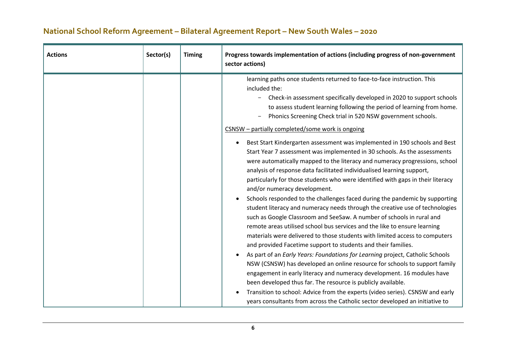| <b>Actions</b> | Sector(s)<br><b>Timing</b> | Progress towards implementation of actions (including progress of non-government<br>sector actions)                                                                                                                                                                                                                                                                                                                                                                                                                                                                                                                                                                                                                                                                                                                                                                                                                                                                                                                                                                                                                                                                                                                                                                                                                                                                                                                                                                                                                                                                                                                                                                                                                                                                                          |
|----------------|----------------------------|----------------------------------------------------------------------------------------------------------------------------------------------------------------------------------------------------------------------------------------------------------------------------------------------------------------------------------------------------------------------------------------------------------------------------------------------------------------------------------------------------------------------------------------------------------------------------------------------------------------------------------------------------------------------------------------------------------------------------------------------------------------------------------------------------------------------------------------------------------------------------------------------------------------------------------------------------------------------------------------------------------------------------------------------------------------------------------------------------------------------------------------------------------------------------------------------------------------------------------------------------------------------------------------------------------------------------------------------------------------------------------------------------------------------------------------------------------------------------------------------------------------------------------------------------------------------------------------------------------------------------------------------------------------------------------------------------------------------------------------------------------------------------------------------|
|                |                            | learning paths once students returned to face-to-face instruction. This<br>included the:<br>Check-in assessment specifically developed in 2020 to support schools<br>to assess student learning following the period of learning from home.<br>Phonics Screening Check trial in 520 NSW government schools.<br>CSNSW - partially completed/some work is ongoing<br>Best Start Kindergarten assessment was implemented in 190 schools and Best<br>$\bullet$<br>Start Year 7 assessment was implemented in 30 schools. As the assessments<br>were automatically mapped to the literacy and numeracy progressions, school<br>analysis of response data facilitated individualised learning support,<br>particularly for those students who were identified with gaps in their literacy<br>and/or numeracy development.<br>Schools responded to the challenges faced during the pandemic by supporting<br>$\bullet$<br>student literacy and numeracy needs through the creative use of technologies<br>such as Google Classroom and SeeSaw. A number of schools in rural and<br>remote areas utilised school bus services and the like to ensure learning<br>materials were delivered to those students with limited access to computers<br>and provided Facetime support to students and their families.<br>As part of an Early Years: Foundations for Learning project, Catholic Schools<br>NSW (CSNSW) has developed an online resource for schools to support family<br>engagement in early literacy and numeracy development. 16 modules have<br>been developed thus far. The resource is publicly available.<br>Transition to school: Advice from the experts (video series). CSNSW and early<br>$\bullet$<br>years consultants from across the Catholic sector developed an initiative to |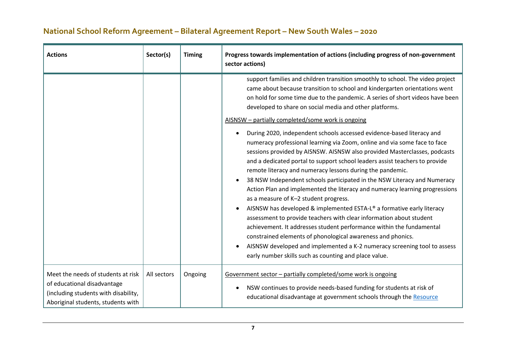| <b>Actions</b>                                                                                                                                  | Sector(s)   | <b>Timing</b> | Progress towards implementation of actions (including progress of non-government<br>sector actions)                                                                                                                                                                                                                                                                                                                                                                                                                                                                                                                                                                                                                                                                                                                                                                                                                                                                                                                                                                                                                                                                                                                                                                                                                                                                                                    |
|-------------------------------------------------------------------------------------------------------------------------------------------------|-------------|---------------|--------------------------------------------------------------------------------------------------------------------------------------------------------------------------------------------------------------------------------------------------------------------------------------------------------------------------------------------------------------------------------------------------------------------------------------------------------------------------------------------------------------------------------------------------------------------------------------------------------------------------------------------------------------------------------------------------------------------------------------------------------------------------------------------------------------------------------------------------------------------------------------------------------------------------------------------------------------------------------------------------------------------------------------------------------------------------------------------------------------------------------------------------------------------------------------------------------------------------------------------------------------------------------------------------------------------------------------------------------------------------------------------------------|
|                                                                                                                                                 |             |               | support families and children transition smoothly to school. The video project<br>came about because transition to school and kindergarten orientations went<br>on hold for some time due to the pandemic. A series of short videos have been<br>developed to share on social media and other platforms.<br>AISNSW - partially completed/some work is ongoing<br>During 2020, independent schools accessed evidence-based literacy and<br>$\bullet$<br>numeracy professional learning via Zoom, online and via some face to face<br>sessions provided by AISNSW. AISNSW also provided Masterclasses, podcasts<br>and a dedicated portal to support school leaders assist teachers to provide<br>remote literacy and numeracy lessons during the pandemic.<br>38 NSW Independent schools participated in the NSW Literacy and Numeracy<br>Action Plan and implemented the literacy and numeracy learning progressions<br>as a measure of K-2 student progress.<br>AISNSW has developed & implemented ESTA-L® a formative early literacy<br>assessment to provide teachers with clear information about student<br>achievement. It addresses student performance within the fundamental<br>constrained elements of phonological awareness and phonics.<br>AISNSW developed and implemented a K-2 numeracy screening tool to assess<br>$\bullet$<br>early number skills such as counting and place value. |
| Meet the needs of students at risk<br>of educational disadvantage<br>(including students with disability,<br>Aboriginal students, students with | All sectors | Ongoing       | Government sector - partially completed/some work is ongoing<br>NSW continues to provide needs-based funding for students at risk of<br>٠<br>educational disadvantage at government schools through the Resource                                                                                                                                                                                                                                                                                                                                                                                                                                                                                                                                                                                                                                                                                                                                                                                                                                                                                                                                                                                                                                                                                                                                                                                       |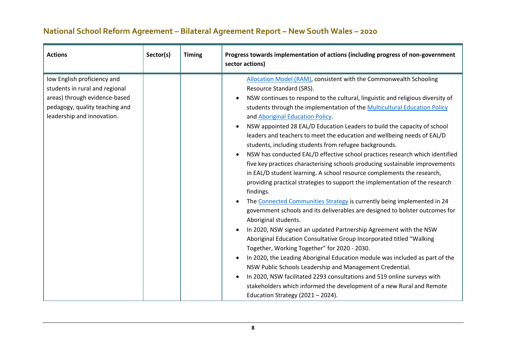| <b>Actions</b>                                                                                                                                                 | Sector(s) | <b>Timing</b> | Progress towards implementation of actions (including progress of non-government<br>sector actions)                                                                                                                                                                                                                                                                                                                                                                                                                                                                                                                                                                                                                                                                                                                                                                                                                                                                                                                                                                                                                                                                                                                                                                                                                                                                                                                                                                                                                                                                                                                                                                        |
|----------------------------------------------------------------------------------------------------------------------------------------------------------------|-----------|---------------|----------------------------------------------------------------------------------------------------------------------------------------------------------------------------------------------------------------------------------------------------------------------------------------------------------------------------------------------------------------------------------------------------------------------------------------------------------------------------------------------------------------------------------------------------------------------------------------------------------------------------------------------------------------------------------------------------------------------------------------------------------------------------------------------------------------------------------------------------------------------------------------------------------------------------------------------------------------------------------------------------------------------------------------------------------------------------------------------------------------------------------------------------------------------------------------------------------------------------------------------------------------------------------------------------------------------------------------------------------------------------------------------------------------------------------------------------------------------------------------------------------------------------------------------------------------------------------------------------------------------------------------------------------------------------|
| low English proficiency and<br>students in rural and regional<br>areas) through evidence-based<br>pedagogy, quality teaching and<br>leadership and innovation. |           |               | Allocation Model (RAM), consistent with the Commonwealth Schooling<br>Resource Standard (SRS).<br>NSW continues to respond to the cultural, linguistic and religious diversity of<br>$\bullet$<br>students through the implementation of the Multicultural Education Policy<br>and Aboriginal Education Policy.<br>NSW appointed 28 EAL/D Education Leaders to build the capacity of school<br>$\bullet$<br>leaders and teachers to meet the education and wellbeing needs of EAL/D<br>students, including students from refugee backgrounds.<br>NSW has conducted EAL/D effective school practices research which identified<br>$\bullet$<br>five key practices characterising schools producing sustainable improvements<br>in EAL/D student learning. A school resource complements the research,<br>providing practical strategies to support the implementation of the research<br>findings.<br>The Connected Communities Strategy is currently being implemented in 24<br>$\bullet$<br>government schools and its deliverables are designed to bolster outcomes for<br>Aboriginal students.<br>In 2020, NSW signed an updated Partnership Agreement with the NSW<br>$\bullet$<br>Aboriginal Education Consultative Group Incorporated titled "Walking<br>Together, Working Together" for 2020 - 2030.<br>In 2020, the Leading Aboriginal Education module was included as part of the<br>$\bullet$<br>NSW Public Schools Leadership and Management Credential.<br>In 2020, NSW facilitated 2293 consultations and 519 online surveys with<br>$\bullet$<br>stakeholders which informed the development of a new Rural and Remote<br>Education Strategy (2021 - 2024). |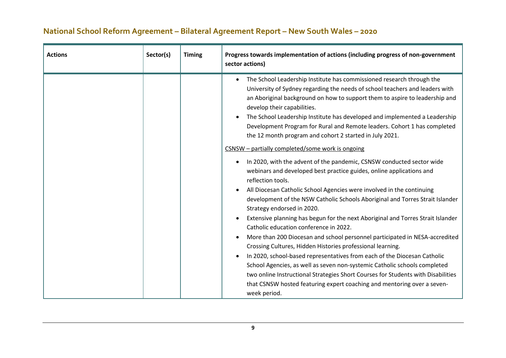| <b>Actions</b> | Sector(s) | <b>Timing</b> | Progress towards implementation of actions (including progress of non-government<br>sector actions)                                                                                                                                                                                                                                                                                                                                                                                                                                                                                                                                                                                                                                                                                                                                                                                                                                                                                                                                                                                                                                                                                                                                                                                                                                                                                                                                                                                                                                                                                                                     |
|----------------|-----------|---------------|-------------------------------------------------------------------------------------------------------------------------------------------------------------------------------------------------------------------------------------------------------------------------------------------------------------------------------------------------------------------------------------------------------------------------------------------------------------------------------------------------------------------------------------------------------------------------------------------------------------------------------------------------------------------------------------------------------------------------------------------------------------------------------------------------------------------------------------------------------------------------------------------------------------------------------------------------------------------------------------------------------------------------------------------------------------------------------------------------------------------------------------------------------------------------------------------------------------------------------------------------------------------------------------------------------------------------------------------------------------------------------------------------------------------------------------------------------------------------------------------------------------------------------------------------------------------------------------------------------------------------|
|                |           |               | The School Leadership Institute has commissioned research through the<br>$\bullet$<br>University of Sydney regarding the needs of school teachers and leaders with<br>an Aboriginal background on how to support them to aspire to leadership and<br>develop their capabilities.<br>The School Leadership Institute has developed and implemented a Leadership<br>$\bullet$<br>Development Program for Rural and Remote leaders. Cohort 1 has completed<br>the 12 month program and cohort 2 started in July 2021.<br>CSNSW - partially completed/some work is ongoing<br>In 2020, with the advent of the pandemic, CSNSW conducted sector wide<br>$\bullet$<br>webinars and developed best practice guides, online applications and<br>reflection tools.<br>All Diocesan Catholic School Agencies were involved in the continuing<br>$\bullet$<br>development of the NSW Catholic Schools Aboriginal and Torres Strait Islander<br>Strategy endorsed in 2020.<br>Extensive planning has begun for the next Aboriginal and Torres Strait Islander<br>$\bullet$<br>Catholic education conference in 2022.<br>More than 200 Diocesan and school personnel participated in NESA-accredited<br>$\bullet$<br>Crossing Cultures, Hidden Histories professional learning.<br>In 2020, school-based representatives from each of the Diocesan Catholic<br>$\bullet$<br>School Agencies, as well as seven non-systemic Catholic schools completed<br>two online Instructional Strategies Short Courses for Students with Disabilities<br>that CSNSW hosted featuring expert coaching and mentoring over a seven-<br>week period. |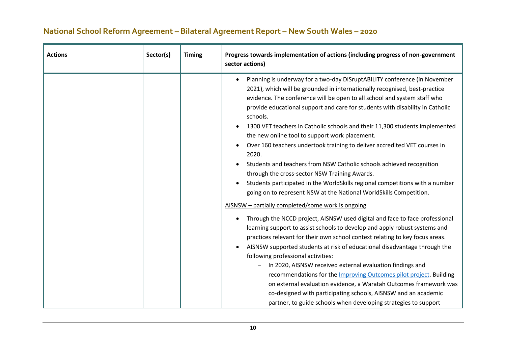| <b>Actions</b> | Sector(s) | <b>Timing</b> | Progress towards implementation of actions (including progress of non-government<br>sector actions)                                                                                                                                                                                                                                                                                                                                                                                                                                                                                                                                                                                                                                                                                                                                                                                                                                                                                                                                                                                                                                                                                                                                                                                                                                                                                                                                                                                                                                                                                                                                                                                         |
|----------------|-----------|---------------|---------------------------------------------------------------------------------------------------------------------------------------------------------------------------------------------------------------------------------------------------------------------------------------------------------------------------------------------------------------------------------------------------------------------------------------------------------------------------------------------------------------------------------------------------------------------------------------------------------------------------------------------------------------------------------------------------------------------------------------------------------------------------------------------------------------------------------------------------------------------------------------------------------------------------------------------------------------------------------------------------------------------------------------------------------------------------------------------------------------------------------------------------------------------------------------------------------------------------------------------------------------------------------------------------------------------------------------------------------------------------------------------------------------------------------------------------------------------------------------------------------------------------------------------------------------------------------------------------------------------------------------------------------------------------------------------|
|                |           |               | Planning is underway for a two-day DISruptABILITY conference (in November<br>$\bullet$<br>2021), which will be grounded in internationally recognised, best-practice<br>evidence. The conference will be open to all school and system staff who<br>provide educational support and care for students with disability in Catholic<br>schools.<br>1300 VET teachers in Catholic schools and their 11,300 students implemented<br>٠<br>the new online tool to support work placement.<br>Over 160 teachers undertook training to deliver accredited VET courses in<br>٠<br>2020.<br>Students and teachers from NSW Catholic schools achieved recognition<br>$\bullet$<br>through the cross-sector NSW Training Awards.<br>Students participated in the WorldSkills regional competitions with a number<br>$\bullet$<br>going on to represent NSW at the National WorldSkills Competition.<br>AISNSW - partially completed/some work is ongoing<br>Through the NCCD project, AISNSW used digital and face to face professional<br>$\bullet$<br>learning support to assist schools to develop and apply robust systems and<br>practices relevant for their own school context relating to key focus areas.<br>AISNSW supported students at risk of educational disadvantage through the<br>$\bullet$<br>following professional activities:<br>In 2020, AISNSW received external evaluation findings and<br>recommendations for the <b>Improving Outcomes pilot project</b> . Building<br>on external evaluation evidence, a Waratah Outcomes framework was<br>co-designed with participating schools, AISNSW and an academic<br>partner, to guide schools when developing strategies to support |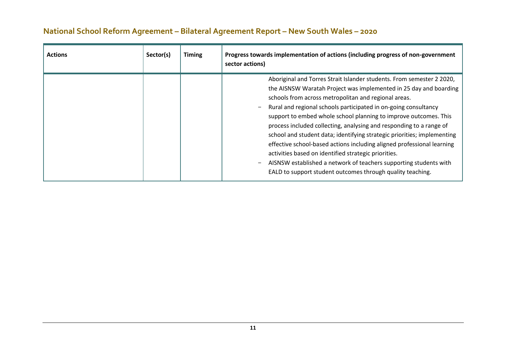| <b>Actions</b> | Sector(s) | <b>Timing</b> | Progress towards implementation of actions (including progress of non-government<br>sector actions)                                                                                                                                                                                                                                                                                                                                                                                                                                                                                                                                                                                                                                                                                          |
|----------------|-----------|---------------|----------------------------------------------------------------------------------------------------------------------------------------------------------------------------------------------------------------------------------------------------------------------------------------------------------------------------------------------------------------------------------------------------------------------------------------------------------------------------------------------------------------------------------------------------------------------------------------------------------------------------------------------------------------------------------------------------------------------------------------------------------------------------------------------|
|                |           |               | Aboriginal and Torres Strait Islander students. From semester 2 2020,<br>the AISNSW Waratah Project was implemented in 25 day and boarding<br>schools from across metropolitan and regional areas.<br>Rural and regional schools participated in on-going consultancy<br>$\overline{\phantom{m}}$<br>support to embed whole school planning to improve outcomes. This<br>process included collecting, analysing and responding to a range of<br>school and student data; identifying strategic priorities; implementing<br>effective school-based actions including aligned professional learning<br>activities based on identified strategic priorities.<br>AISNSW established a network of teachers supporting students with<br>EALD to support student outcomes through quality teaching. |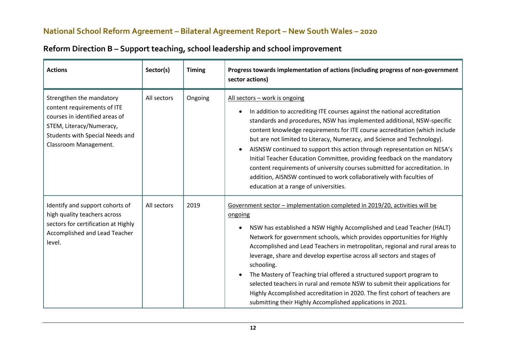| <b>Actions</b>                                                                                                                                                                    | Sector(s)   | <b>Timing</b> | Progress towards implementation of actions (including progress of non-government<br>sector actions)                                                                                                                                                                                                                                                                                                                                                                                                                                                                                                                                                                                                                                |
|-----------------------------------------------------------------------------------------------------------------------------------------------------------------------------------|-------------|---------------|------------------------------------------------------------------------------------------------------------------------------------------------------------------------------------------------------------------------------------------------------------------------------------------------------------------------------------------------------------------------------------------------------------------------------------------------------------------------------------------------------------------------------------------------------------------------------------------------------------------------------------------------------------------------------------------------------------------------------------|
| Strengthen the mandatory<br>content requirements of ITE<br>courses in identified areas of<br>STEM, Literacy/Numeracy,<br>Students with Special Needs and<br>Classroom Management. | All sectors | Ongoing       | All sectors - work is ongoing<br>In addition to accrediting ITE courses against the national accreditation<br>standards and procedures, NSW has implemented additional, NSW-specific<br>content knowledge requirements for ITE course accreditation (which include<br>but are not limited to Literacy, Numeracy, and Science and Technology).<br>AISNSW continued to support this action through representation on NESA's<br>$\bullet$<br>Initial Teacher Education Committee, providing feedback on the mandatory<br>content requirements of university courses submitted for accreditation. In<br>addition, AISNSW continued to work collaboratively with faculties of<br>education at a range of universities.                  |
| Identify and support cohorts of<br>high quality teachers across<br>sectors for certification at Highly<br>Accomplished and Lead Teacher<br>level.                                 | All sectors | 2019          | Government sector - implementation completed in 2019/20, activities will be<br>ongoing<br>NSW has established a NSW Highly Accomplished and Lead Teacher (HALT)<br>$\bullet$<br>Network for government schools, which provides opportunities for Highly<br>Accomplished and Lead Teachers in metropolitan, regional and rural areas to<br>leverage, share and develop expertise across all sectors and stages of<br>schooling.<br>The Mastery of Teaching trial offered a structured support program to<br>selected teachers in rural and remote NSW to submit their applications for<br>Highly Accomplished accreditation in 2020. The first cohort of teachers are<br>submitting their Highly Accomplished applications in 2021. |

## **Reform Direction B – Support teaching, school leadership and school improvement**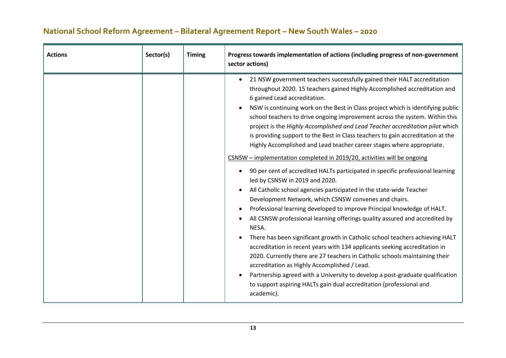| <b>Actions</b> | Sector(s) | <b>Timing</b> | Progress towards implementation of actions (including progress of non-government<br>sector actions)                                                                                                                                                                                                                                                                                                                                                                                                                                                                                                                                                                                                                                                                                                                                                                                                                                                                                                                                                                                                                                                                                                                                                                                                                                                                                                                                                                                                                                                                                                |
|----------------|-----------|---------------|----------------------------------------------------------------------------------------------------------------------------------------------------------------------------------------------------------------------------------------------------------------------------------------------------------------------------------------------------------------------------------------------------------------------------------------------------------------------------------------------------------------------------------------------------------------------------------------------------------------------------------------------------------------------------------------------------------------------------------------------------------------------------------------------------------------------------------------------------------------------------------------------------------------------------------------------------------------------------------------------------------------------------------------------------------------------------------------------------------------------------------------------------------------------------------------------------------------------------------------------------------------------------------------------------------------------------------------------------------------------------------------------------------------------------------------------------------------------------------------------------------------------------------------------------------------------------------------------------|
|                |           |               | 21 NSW government teachers successfully gained their HALT accreditation<br>$\bullet$<br>throughout 2020. 15 teachers gained Highly Accomplished accreditation and<br>6 gained Lead accreditation.<br>NSW is continuing work on the Best in Class project which is identifying public<br>school teachers to drive ongoing improvement across the system. Within this<br>project is the Highly Accomplished and Lead Teacher accreditation pilot which<br>is providing support to the Best in Class teachers to gain accreditation at the<br>Highly Accomplished and Lead teacher career stages where appropriate.<br>CSNSW - implementation completed in 2019/20, activities will be ongoing<br>90 per cent of accredited HALTs participated in specific professional learning<br>$\bullet$<br>led by CSNSW in 2019 and 2020.<br>All Catholic school agencies participated in the state-wide Teacher<br>Development Network, which CSNSW convenes and chairs.<br>Professional learning developed to improve Principal knowledge of HALT.<br>All CSNSW professional learning offerings quality assured and accredited by<br>NESA.<br>There has been significant growth in Catholic school teachers achieving HALT<br>accreditation in recent years with 134 applicants seeking accreditation in<br>2020. Currently there are 27 teachers in Catholic schools maintaining their<br>accreditation as Highly Accomplished / Lead.<br>Partnership agreed with a University to develop a post-graduate qualification<br>to support aspiring HALTs gain dual accreditation (professional and<br>academic). |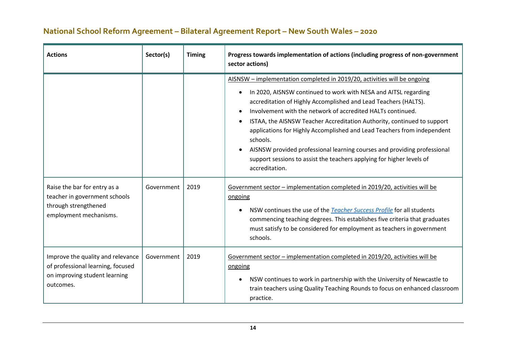| <b>Actions</b>                                                                                                       | Sector(s)  | <b>Timing</b> | Progress towards implementation of actions (including progress of non-government<br>sector actions)                                                                                                                                                                                                                                                                                                                                                                                                                                                                                                                                                                                                                           |
|----------------------------------------------------------------------------------------------------------------------|------------|---------------|-------------------------------------------------------------------------------------------------------------------------------------------------------------------------------------------------------------------------------------------------------------------------------------------------------------------------------------------------------------------------------------------------------------------------------------------------------------------------------------------------------------------------------------------------------------------------------------------------------------------------------------------------------------------------------------------------------------------------------|
| Raise the bar for entry as a<br>teacher in government schools                                                        | Government | 2019          | AISNSW - implementation completed in 2019/20, activities will be ongoing<br>In 2020, AISNSW continued to work with NESA and AITSL regarding<br>$\bullet$<br>accreditation of Highly Accomplished and Lead Teachers (HALTS).<br>Involvement with the network of accredited HALTs continued.<br>ISTAA, the AISNSW Teacher Accreditation Authority, continued to support<br>applications for Highly Accomplished and Lead Teachers from independent<br>schools.<br>AISNSW provided professional learning courses and providing professional<br>support sessions to assist the teachers applying for higher levels of<br>accreditation.<br>Government sector – implementation completed in 2019/20, activities will be<br>ongoing |
| through strengthened<br>employment mechanisms.                                                                       |            |               | NSW continues the use of the <b>Teacher Success Profile</b> for all students<br>$\bullet$<br>commencing teaching degrees. This establishes five criteria that graduates<br>must satisfy to be considered for employment as teachers in government<br>schools.                                                                                                                                                                                                                                                                                                                                                                                                                                                                 |
| Improve the quality and relevance<br>of professional learning, focused<br>on improving student learning<br>outcomes. | Government | 2019          | Government sector - implementation completed in 2019/20, activities will be<br>ongoing<br>NSW continues to work in partnership with the University of Newcastle to<br>$\bullet$<br>train teachers using Quality Teaching Rounds to focus on enhanced classroom<br>practice.                                                                                                                                                                                                                                                                                                                                                                                                                                                   |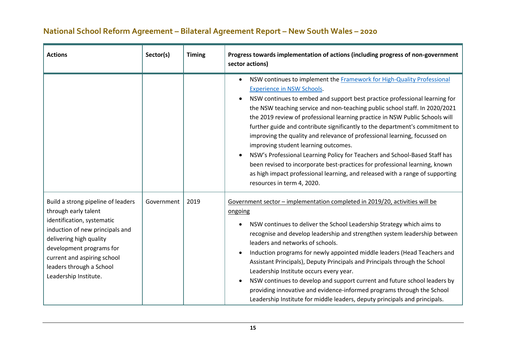| <b>Actions</b>                                                                                                                                                                                                                                                         | Sector(s)  | <b>Timing</b> | Progress towards implementation of actions (including progress of non-government<br>sector actions)                                                                                                                                                                                                                                                                                                                                                                                                                                                                                                                                                                                                                                                                                                                                                           |
|------------------------------------------------------------------------------------------------------------------------------------------------------------------------------------------------------------------------------------------------------------------------|------------|---------------|---------------------------------------------------------------------------------------------------------------------------------------------------------------------------------------------------------------------------------------------------------------------------------------------------------------------------------------------------------------------------------------------------------------------------------------------------------------------------------------------------------------------------------------------------------------------------------------------------------------------------------------------------------------------------------------------------------------------------------------------------------------------------------------------------------------------------------------------------------------|
|                                                                                                                                                                                                                                                                        |            |               | NSW continues to implement the <b>Framework for High-Quality Professional</b><br>$\bullet$<br><b>Experience in NSW Schools.</b><br>NSW continues to embed and support best practice professional learning for<br>the NSW teaching service and non-teaching public school staff. In 2020/2021<br>the 2019 review of professional learning practice in NSW Public Schools will<br>further guide and contribute significantly to the department's commitment to<br>improving the quality and relevance of professional learning, focussed on<br>improving student learning outcomes.<br>NSW's Professional Learning Policy for Teachers and School-Based Staff has<br>been revised to incorporate best-practices for professional learning, known<br>as high impact professional learning, and released with a range of supporting<br>resources in term 4, 2020. |
| Build a strong pipeline of leaders<br>through early talent<br>identification, systematic<br>induction of new principals and<br>delivering high quality<br>development programs for<br>current and aspiring school<br>leaders through a School<br>Leadership Institute. | Government | 2019          | Government sector - implementation completed in 2019/20, activities will be<br>ongoing<br>NSW continues to deliver the School Leadership Strategy which aims to<br>recognise and develop leadership and strengthen system leadership between<br>leaders and networks of schools.<br>Induction programs for newly appointed middle leaders (Head Teachers and<br>Assistant Principals), Deputy Principals and Principals through the School<br>Leadership Institute occurs every year.<br>NSW continues to develop and support current and future school leaders by<br>providing innovative and evidence-informed programs through the School<br>Leadership Institute for middle leaders, deputy principals and principals.                                                                                                                                    |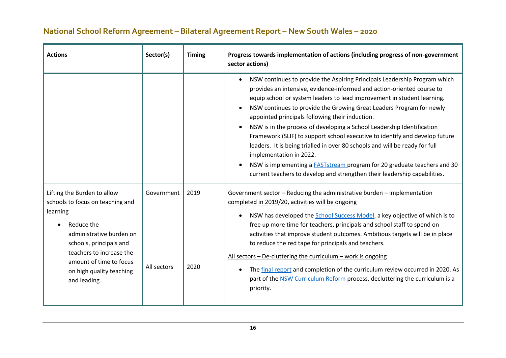| <b>Actions</b>                                                                                                                                                                                                                                      | Sector(s)                 | <b>Timing</b> | Progress towards implementation of actions (including progress of non-government<br>sector actions)                                                                                                                                                                                                                                                                                                                                                                                                                                                                                                                                                                                                                                                                                          |
|-----------------------------------------------------------------------------------------------------------------------------------------------------------------------------------------------------------------------------------------------------|---------------------------|---------------|----------------------------------------------------------------------------------------------------------------------------------------------------------------------------------------------------------------------------------------------------------------------------------------------------------------------------------------------------------------------------------------------------------------------------------------------------------------------------------------------------------------------------------------------------------------------------------------------------------------------------------------------------------------------------------------------------------------------------------------------------------------------------------------------|
|                                                                                                                                                                                                                                                     |                           |               | NSW continues to provide the Aspiring Principals Leadership Program which<br>provides an intensive, evidence-informed and action-oriented course to<br>equip school or system leaders to lead improvement in student learning.<br>NSW continues to provide the Growing Great Leaders Program for newly<br>appointed principals following their induction.<br>NSW is in the process of developing a School Leadership Identification<br>Framework (SLIF) to support school executive to identify and develop future<br>leaders. It is being trialled in over 80 schools and will be ready for full<br>implementation in 2022.<br>NSW is implementing a <b>FASTstream</b> program for 20 graduate teachers and 30<br>current teachers to develop and strengthen their leadership capabilities. |
| Lifting the Burden to allow<br>schools to focus on teaching and<br>learning<br>Reduce the<br>administrative burden on<br>schools, principals and<br>teachers to increase the<br>amount of time to focus<br>on high quality teaching<br>and leading. | Government<br>All sectors | 2019<br>2020  | Government sector - Reducing the administrative burden - implementation<br>completed in 2019/20, activities will be ongoing<br>NSW has developed the School Success Model, a key objective of which is to<br>free up more time for teachers, principals and school staff to spend on<br>activities that improve student outcomes. Ambitious targets will be in place<br>to reduce the red tape for principals and teachers.<br>All sectors - De-cluttering the curriculum - work is ongoing<br>The final report and completion of the curriculum review occurred in 2020. As<br>$\bullet$<br>part of the NSW Curriculum Reform process, decluttering the curriculum is a<br>priority.                                                                                                        |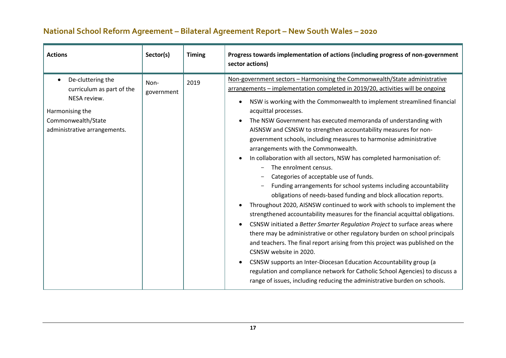| <b>Actions</b>                                                                                                                                       | Sector(s)          | <b>Timing</b> | Progress towards implementation of actions (including progress of non-government<br>sector actions)                                                                                                                                                                                                                                                                                                                                                                                                                                                                                                                                                                                                                                                                                                                                                                                                                                                                                                                                                                                                                                                                                                                                                                                                                                                                                                                                                                            |
|------------------------------------------------------------------------------------------------------------------------------------------------------|--------------------|---------------|--------------------------------------------------------------------------------------------------------------------------------------------------------------------------------------------------------------------------------------------------------------------------------------------------------------------------------------------------------------------------------------------------------------------------------------------------------------------------------------------------------------------------------------------------------------------------------------------------------------------------------------------------------------------------------------------------------------------------------------------------------------------------------------------------------------------------------------------------------------------------------------------------------------------------------------------------------------------------------------------------------------------------------------------------------------------------------------------------------------------------------------------------------------------------------------------------------------------------------------------------------------------------------------------------------------------------------------------------------------------------------------------------------------------------------------------------------------------------------|
| De-cluttering the<br>$\bullet$<br>curriculum as part of the<br>NESA review.<br>Harmonising the<br>Commonwealth/State<br>administrative arrangements. | Non-<br>government | 2019          | Non-government sectors - Harmonising the Commonwealth/State administrative<br>arrangements - implementation completed in 2019/20, activities will be ongoing<br>NSW is working with the Commonwealth to implement streamlined financial<br>acquittal processes.<br>The NSW Government has executed memoranda of understanding with<br>AISNSW and CSNSW to strengthen accountability measures for non-<br>government schools, including measures to harmonise administrative<br>arrangements with the Commonwealth.<br>In collaboration with all sectors, NSW has completed harmonisation of:<br>The enrolment census.<br>Categories of acceptable use of funds.<br>Funding arrangements for school systems including accountability<br>obligations of needs-based funding and block allocation reports.<br>Throughout 2020, AISNSW continued to work with schools to implement the<br>strengthened accountability measures for the financial acquittal obligations.<br>CSNSW initiated a Better Smarter Regulation Project to surface areas where<br>there may be administrative or other regulatory burden on school principals<br>and teachers. The final report arising from this project was published on the<br>CSNSW website in 2020.<br>CSNSW supports an Inter-Diocesan Education Accountability group (a<br>regulation and compliance network for Catholic School Agencies) to discuss a<br>range of issues, including reducing the administrative burden on schools. |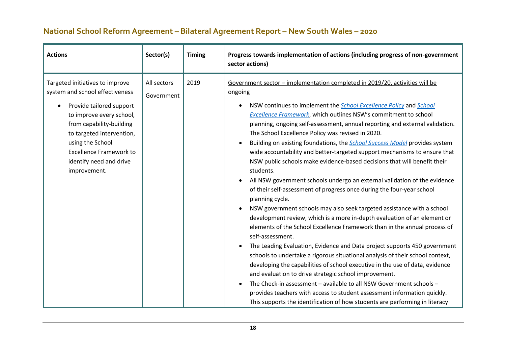| <b>Actions</b>                                                                                                                                                                                                                                                                       | Sector(s)                 | <b>Timing</b> | Progress towards implementation of actions (including progress of non-government<br>sector actions)                                                                                                                                                                                                                                                                                                                                                                                                                                                                                                                                                                                                                                                                                                                                                                                                                                                                                                                                                                                                                                                                                                                                                                                                                                                                                                                                                                                                                                                                                                                    |
|--------------------------------------------------------------------------------------------------------------------------------------------------------------------------------------------------------------------------------------------------------------------------------------|---------------------------|---------------|------------------------------------------------------------------------------------------------------------------------------------------------------------------------------------------------------------------------------------------------------------------------------------------------------------------------------------------------------------------------------------------------------------------------------------------------------------------------------------------------------------------------------------------------------------------------------------------------------------------------------------------------------------------------------------------------------------------------------------------------------------------------------------------------------------------------------------------------------------------------------------------------------------------------------------------------------------------------------------------------------------------------------------------------------------------------------------------------------------------------------------------------------------------------------------------------------------------------------------------------------------------------------------------------------------------------------------------------------------------------------------------------------------------------------------------------------------------------------------------------------------------------------------------------------------------------------------------------------------------------|
| Targeted initiatives to improve<br>system and school effectiveness<br>Provide tailored support<br>to improve every school,<br>from capability-building<br>to targeted intervention,<br>using the School<br><b>Excellence Framework to</b><br>identify need and drive<br>improvement. | All sectors<br>Government | 2019          | Government sector - implementation completed in 2019/20, activities will be<br>ongoing<br>NSW continues to implement the <i>School Excellence Policy</i> and <i>School</i><br>Excellence Framework, which outlines NSW's commitment to school<br>planning, ongoing self-assessment, annual reporting and external validation.<br>The School Excellence Policy was revised in 2020.<br>Building on existing foundations, the <b>School Success Model</b> provides system<br>wide accountability and better-targeted support mechanisms to ensure that<br>NSW public schools make evidence-based decisions that will benefit their<br>students.<br>All NSW government schools undergo an external validation of the evidence<br>of their self-assessment of progress once during the four-year school<br>planning cycle.<br>NSW government schools may also seek targeted assistance with a school<br>development review, which is a more in-depth evaluation of an element or<br>elements of the School Excellence Framework than in the annual process of<br>self-assessment.<br>The Leading Evaluation, Evidence and Data project supports 450 government<br>schools to undertake a rigorous situational analysis of their school context,<br>developing the capabilities of school executive in the use of data, evidence<br>and evaluation to drive strategic school improvement.<br>The Check-in assessment - available to all NSW Government schools -<br>provides teachers with access to student assessment information quickly.<br>This supports the identification of how students are performing in literacy |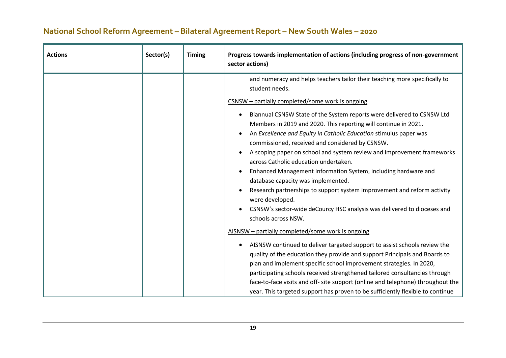| <b>Actions</b> | Sector(s) | <b>Timing</b> | Progress towards implementation of actions (including progress of non-government<br>sector actions)                                                                                                                                                                                                                                                                                                                                                                                                                                                                                                                                                                                                                                                                                                                                                                                                                                                                                                                                                                                                                                                                                                                                                                                                                                                                                        |
|----------------|-----------|---------------|--------------------------------------------------------------------------------------------------------------------------------------------------------------------------------------------------------------------------------------------------------------------------------------------------------------------------------------------------------------------------------------------------------------------------------------------------------------------------------------------------------------------------------------------------------------------------------------------------------------------------------------------------------------------------------------------------------------------------------------------------------------------------------------------------------------------------------------------------------------------------------------------------------------------------------------------------------------------------------------------------------------------------------------------------------------------------------------------------------------------------------------------------------------------------------------------------------------------------------------------------------------------------------------------------------------------------------------------------------------------------------------------|
|                |           |               | and numeracy and helps teachers tailor their teaching more specifically to<br>student needs.<br>CSNSW - partially completed/some work is ongoing<br>Biannual CSNSW State of the System reports were delivered to CSNSW Ltd<br>Members in 2019 and 2020. This reporting will continue in 2021.<br>An Excellence and Equity in Catholic Education stimulus paper was<br>commissioned, received and considered by CSNSW.<br>A scoping paper on school and system review and improvement frameworks<br>across Catholic education undertaken.<br>Enhanced Management Information System, including hardware and<br>database capacity was implemented.<br>Research partnerships to support system improvement and reform activity<br>were developed.<br>CSNSW's sector-wide deCourcy HSC analysis was delivered to dioceses and<br>schools across NSW.<br>AISNSW - partially completed/some work is ongoing<br>AISNSW continued to deliver targeted support to assist schools review the<br>quality of the education they provide and support Principals and Boards to<br>plan and implement specific school improvement strategies. In 2020,<br>participating schools received strengthened tailored consultancies through<br>face-to-face visits and off- site support (online and telephone) throughout the<br>year. This targeted support has proven to be sufficiently flexible to continue |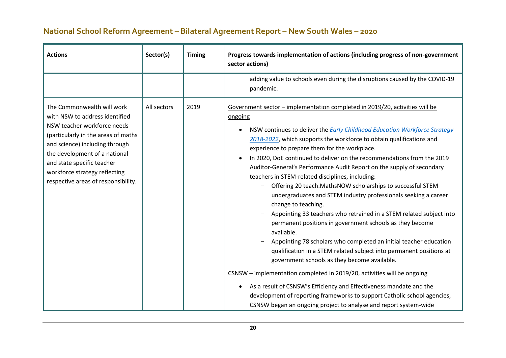| <b>Actions</b>                                                                                                                                                                                                                                                                                              | Sector(s)   | <b>Timing</b> | Progress towards implementation of actions (including progress of non-government<br>sector actions)                                                                                                                                                                                                                                                                                                                                                                                                                                                                                                                                                                                                                                                                                                                                                                                                                                                                                                                                                                                                                                                                                                                                                                                                                                                      |
|-------------------------------------------------------------------------------------------------------------------------------------------------------------------------------------------------------------------------------------------------------------------------------------------------------------|-------------|---------------|----------------------------------------------------------------------------------------------------------------------------------------------------------------------------------------------------------------------------------------------------------------------------------------------------------------------------------------------------------------------------------------------------------------------------------------------------------------------------------------------------------------------------------------------------------------------------------------------------------------------------------------------------------------------------------------------------------------------------------------------------------------------------------------------------------------------------------------------------------------------------------------------------------------------------------------------------------------------------------------------------------------------------------------------------------------------------------------------------------------------------------------------------------------------------------------------------------------------------------------------------------------------------------------------------------------------------------------------------------|
|                                                                                                                                                                                                                                                                                                             |             |               | adding value to schools even during the disruptions caused by the COVID-19<br>pandemic.                                                                                                                                                                                                                                                                                                                                                                                                                                                                                                                                                                                                                                                                                                                                                                                                                                                                                                                                                                                                                                                                                                                                                                                                                                                                  |
| The Commonwealth will work<br>with NSW to address identified<br>NSW teacher workforce needs<br>(particularly in the areas of maths<br>and science) including through<br>the development of a national<br>and state specific teacher<br>workforce strategy reflecting<br>respective areas of responsibility. | All sectors | 2019          | Government sector - implementation completed in 2019/20, activities will be<br>ongoing<br>NSW continues to deliver the <b>Early Childhood Education Workforce Strategy</b><br>$\bullet$<br>2018-2022, which supports the workforce to obtain qualifications and<br>experience to prepare them for the workplace.<br>In 2020, DoE continued to deliver on the recommendations from the 2019<br>$\bullet$<br>Auditor-General's Performance Audit Report on the supply of secondary<br>teachers in STEM-related disciplines, including:<br>Offering 20 teach.MathsNOW scholarships to successful STEM<br>undergraduates and STEM industry professionals seeking a career<br>change to teaching.<br>Appointing 33 teachers who retrained in a STEM related subject into<br>permanent positions in government schools as they become<br>available.<br>Appointing 78 scholars who completed an initial teacher education<br>qualification in a STEM related subject into permanent positions at<br>government schools as they become available.<br>CSNSW - implementation completed in 2019/20, activities will be ongoing<br>As a result of CSNSW's Efficiency and Effectiveness mandate and the<br>$\bullet$<br>development of reporting frameworks to support Catholic school agencies,<br>CSNSW began an ongoing project to analyse and report system-wide |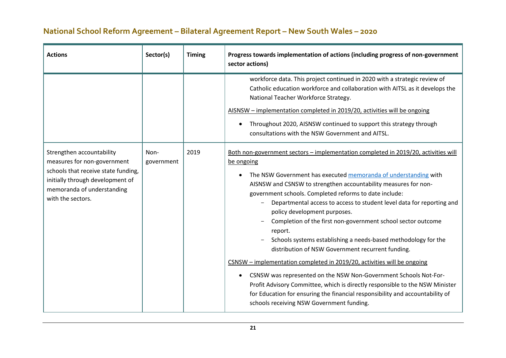| <b>Actions</b>                                                                                                                                                                         | Sector(s)          | <b>Timing</b> | Progress towards implementation of actions (including progress of non-government<br>sector actions)                                                                                                                                                                                                                                                                                                                                                                                                                                                                                                                                                                                                                                                                                                                                                                                                                                                                                          |
|----------------------------------------------------------------------------------------------------------------------------------------------------------------------------------------|--------------------|---------------|----------------------------------------------------------------------------------------------------------------------------------------------------------------------------------------------------------------------------------------------------------------------------------------------------------------------------------------------------------------------------------------------------------------------------------------------------------------------------------------------------------------------------------------------------------------------------------------------------------------------------------------------------------------------------------------------------------------------------------------------------------------------------------------------------------------------------------------------------------------------------------------------------------------------------------------------------------------------------------------------|
|                                                                                                                                                                                        |                    |               | workforce data. This project continued in 2020 with a strategic review of<br>Catholic education workforce and collaboration with AITSL as it develops the<br>National Teacher Workforce Strategy.<br>AISNSW - implementation completed in 2019/20, activities will be ongoing<br>Throughout 2020, AISNSW continued to support this strategy through<br>consultations with the NSW Government and AITSL.                                                                                                                                                                                                                                                                                                                                                                                                                                                                                                                                                                                      |
| Strengthen accountability<br>measures for non-government<br>schools that receive state funding,<br>initially through development of<br>memoranda of understanding<br>with the sectors. | Non-<br>government | 2019          | <u>Both non-government sectors - implementation completed in 2019/20, activities will</u><br>be ongoing<br>The NSW Government has executed memoranda of understanding with<br>AISNSW and CSNSW to strengthen accountability measures for non-<br>government schools. Completed reforms to date include:<br>Departmental access to access to student level data for reporting and<br>policy development purposes.<br>Completion of the first non-government school sector outcome<br>report.<br>Schools systems establishing a needs-based methodology for the<br>distribution of NSW Government recurrent funding.<br>CSNSW - implementation completed in 2019/20, activities will be ongoing<br>CSNSW was represented on the NSW Non-Government Schools Not-For-<br>$\bullet$<br>Profit Advisory Committee, which is directly responsible to the NSW Minister<br>for Education for ensuring the financial responsibility and accountability of<br>schools receiving NSW Government funding. |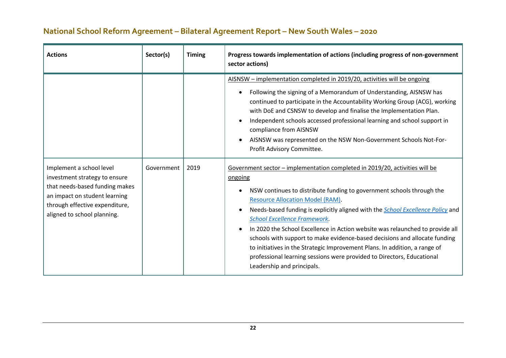| <b>Actions</b>                                                                                                                                                                                | Sector(s)  | <b>Timing</b> | Progress towards implementation of actions (including progress of non-government<br>sector actions)                                                                                                                                                                                                                                                                                                                                                                                                                                                                                                                                                                                                                                                                                                                                                                                                                                                                                                                                                                                                                                                                                                               |
|-----------------------------------------------------------------------------------------------------------------------------------------------------------------------------------------------|------------|---------------|-------------------------------------------------------------------------------------------------------------------------------------------------------------------------------------------------------------------------------------------------------------------------------------------------------------------------------------------------------------------------------------------------------------------------------------------------------------------------------------------------------------------------------------------------------------------------------------------------------------------------------------------------------------------------------------------------------------------------------------------------------------------------------------------------------------------------------------------------------------------------------------------------------------------------------------------------------------------------------------------------------------------------------------------------------------------------------------------------------------------------------------------------------------------------------------------------------------------|
| Implement a school level<br>investment strategy to ensure<br>that needs-based funding makes<br>an impact on student learning<br>through effective expenditure,<br>aligned to school planning. | Government | 2019          | AISNSW - implementation completed in 2019/20, activities will be ongoing<br>Following the signing of a Memorandum of Understanding, AISNSW has<br>continued to participate in the Accountability Working Group (ACG), working<br>with DoE and CSNSW to develop and finalise the Implementation Plan.<br>Independent schools accessed professional learning and school support in<br>compliance from AISNSW<br>AISNSW was represented on the NSW Non-Government Schools Not-For-<br>Profit Advisory Committee.<br>Government sector - implementation completed in 2019/20, activities will be<br>ongoing<br>NSW continues to distribute funding to government schools through the<br><b>Resource Allocation Model (RAM).</b><br>Needs-based funding is explicitly aligned with the <b>School Excellence Policy</b> and<br><b>School Excellence Framework.</b><br>In 2020 the School Excellence in Action website was relaunched to provide all<br>schools with support to make evidence-based decisions and allocate funding<br>to initiatives in the Strategic Improvement Plans. In addition, a range of<br>professional learning sessions were provided to Directors, Educational<br>Leadership and principals. |